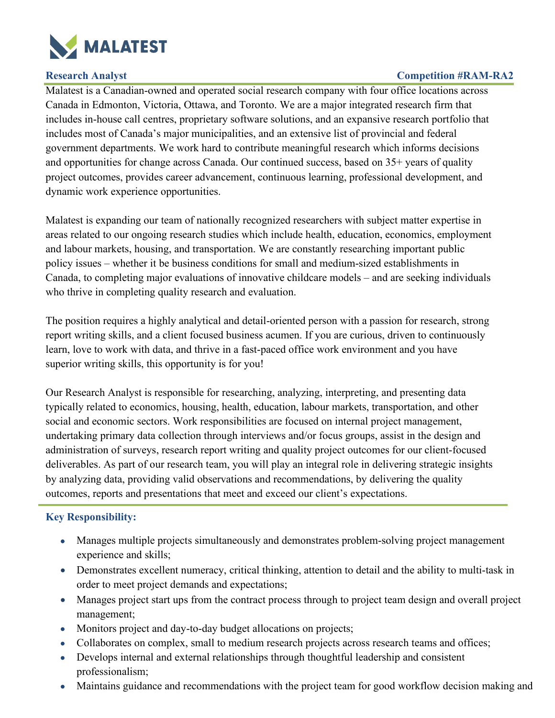

## **Research Analyst Competition #RAM-RA2**

Malatest is a Canadian-owned and operated social research company with four office locations across Canada in Edmonton, Victoria, Ottawa, and Toronto. We are a major integrated research firm that includes in-house call centres, proprietary software solutions, and an expansive research portfolio that includes most of Canada's major municipalities, and an extensive list of provincial and federal government departments. We work hard to contribute meaningful research which informs decisions and opportunities for change across Canada. Our continued success, based on 35+ years of quality project outcomes, provides career advancement, continuous learning, professional development, and dynamic work experience opportunities.

Malatest is expanding our team of nationally recognized researchers with subject matter expertise in areas related to our ongoing research studies which include health, education, economics, employment and labour markets, housing, and transportation. We are constantly researching important public policy issues – whether it be business conditions for small and medium-sized establishments in Canada, to completing major evaluations of innovative childcare models – and are seeking individuals who thrive in completing quality research and evaluation.

The position requires a highly analytical and detail-oriented person with a passion for research, strong report writing skills, and a client focused business acumen. If you are curious, driven to continuously learn, love to work with data, and thrive in a fast-paced office work environment and you have superior writing skills, this opportunity is for you!

Our Research Analyst is responsible for researching, analyzing, interpreting, and presenting data typically related to economics, housing, health, education, labour markets, transportation, and other social and economic sectors. Work responsibilities are focused on internal project management, undertaking primary data collection through interviews and/or focus groups, assist in the design and administration of surveys, research report writing and quality project outcomes for our client-focused deliverables. As part of our research team, you will play an integral role in delivering strategic insights by analyzing data, providing valid observations and recommendations, by delivering the quality outcomes, reports and presentations that meet and exceed our client's expectations.

## **Key Responsibility:**

- Manages multiple projects simultaneously and demonstrates problem-solving project management experience and skills;
- Demonstrates excellent numeracy, critical thinking, attention to detail and the ability to multi-task in order to meet project demands and expectations;
- Manages project start ups from the contract process through to project team design and overall project management;
- Monitors project and day-to-day budget allocations on projects;
- Collaborates on complex, small to medium research projects across research teams and offices;
- Develops internal and external relationships through thoughtful leadership and consistent professionalism;
- Maintains guidance and recommendations with the project team for good workflow decision making and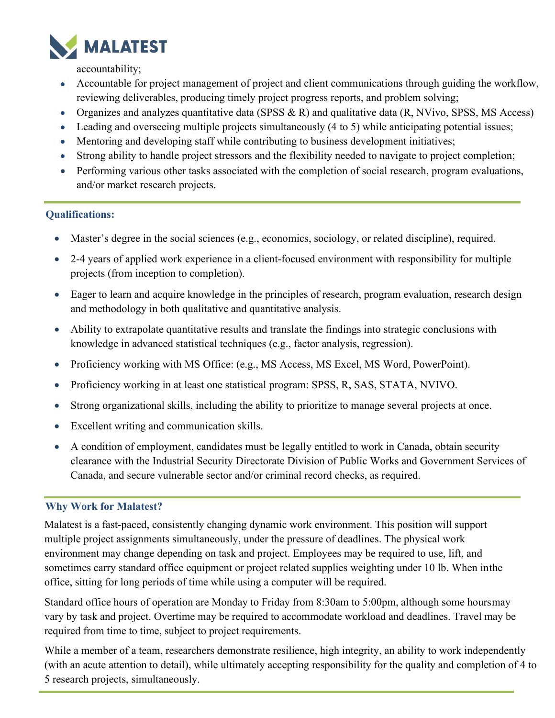

accountability;

- Accountable for project management of project and client communications through guiding the workflow, reviewing deliverables, producing timely project progress reports, and problem solving;
- Organizes and analyzes quantitative data (SPSS & R) and qualitative data  $(R, NVivo, SPSS, MS Access)$
- Leading and overseeing multiple projects simultaneously (4 to 5) while anticipating potential issues;
- Mentoring and developing staff while contributing to business development initiatives;
- Strong ability to handle project stressors and the flexibility needed to navigate to project completion;
- Performing various other tasks associated with the completion of social research, program evaluations, and/or market research projects.

# **Qualifications:**

- Master's degree in the social sciences (e.g., economics, sociology, or related discipline), required.
- 2-4 years of applied work experience in a client-focused environment with responsibility for multiple projects (from inception to completion).
- Eager to learn and acquire knowledge in the principles of research, program evaluation, research design and methodology in both qualitative and quantitative analysis.
- Ability to extrapolate quantitative results and translate the findings into strategic conclusions with knowledge in advanced statistical techniques (e.g., factor analysis, regression).
- Proficiency working with MS Office: (e.g., MS Access, MS Excel, MS Word, PowerPoint).
- Proficiency working in at least one statistical program: SPSS, R, SAS, STATA, NVIVO.
- Strong organizational skills, including the ability to prioritize to manage several projects at once.
- Excellent writing and communication skills.
- A condition of employment, candidates must be legally entitled to work in Canada, obtain security clearance with the Industrial Security Directorate Division of Public Works and Government Services of Canada, and secure vulnerable sector and/or criminal record checks, as required.

# **Why Work for Malatest?**

Malatest is a fast-paced, consistently changing dynamic work environment. This position will support multiple project assignments simultaneously, under the pressure of deadlines. The physical work environment may change depending on task and project. Employees may be required to use, lift, and sometimes carry standard office equipment or project related supplies weighting under 10 lb. When inthe office, sitting for long periods of time while using a computer will be required.

Standard office hours of operation are Monday to Friday from 8:30am to 5:00pm, although some hoursmay vary by task and project. Overtime may be required to accommodate workload and deadlines. Travel may be required from time to time, subject to project requirements.

While a member of a team, researchers demonstrate resilience, high integrity, an ability to work independently (with an acute attention to detail), while ultimately accepting responsibility for the quality and completion of 4 to 5 research projects, simultaneously.